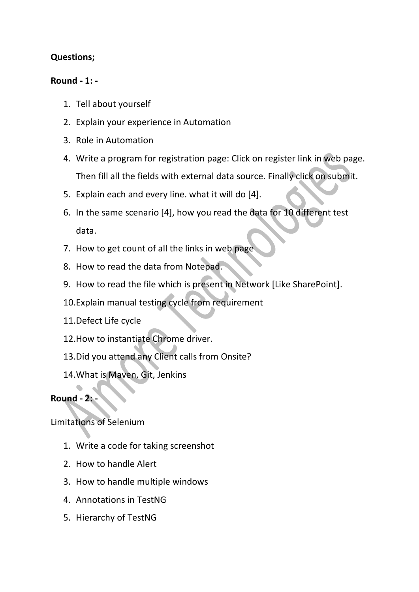## **Questions;**

## **Round - 1: -**

- 1. Tell about yourself
- 2. Explain your experience in Automation
- 3. Role in Automation
- 4. Write a program for registration page: Click on register link in web page. Then fill all the fields with external data source. Finally click on submit.
- 5. Explain each and every line. what it will do [4].
- 6. In the same scenario [4], how you read the data for 10 different test data.
- 7. How to get count of all the links in web page
- 8. How to read the data from Notepad.
- 9. How to read the file which is present in Network [Like SharePoint].
- 10.Explain manual testing cycle from requirement
- 11.Defect Life cycle
- 12.How to instantiate Chrome driver.
- 13.Did you attend any Client calls from Onsite?
- 14.What is Maven, Git, Jenkins

## **Round - 2: -**

Limitations of Selenium

- 1. Write a code for taking screenshot
- 2. How to handle Alert
- 3. How to handle multiple windows
- 4. Annotations in TestNG
- 5. Hierarchy of TestNG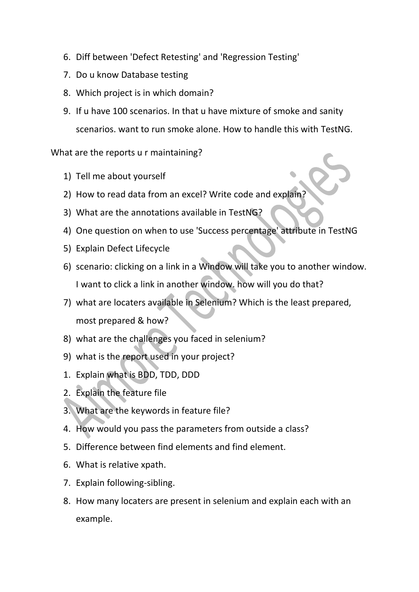- 6. Diff between 'Defect Retesting' and 'Regression Testing'
- 7. Do u know Database testing
- 8. Which project is in which domain?
- 9. If u have 100 scenarios. In that u have mixture of smoke and sanity scenarios. want to run smoke alone. How to handle this with TestNG.

What are the reports u r maintaining?

- 1) Tell me about yourself
- 2) How to read data from an excel? Write code and explain?
- 3) What are the annotations available in TestNG?
- 4) One question on when to use 'Success percentage' attribute in TestNG
- 5) Explain Defect Lifecycle
- 6) scenario: clicking on a link in a Window will take you to another window. I want to click a link in another window. how will you do that?
- 7) what are locaters available in Selenium? Which is the least prepared, most prepared & how?
- 8) what are the challenges you faced in selenium?
- 9) what is the report used in your project?
- 1. Explain what is BDD, TDD, DDD
- 2. Explain the feature file
- 3. What are the keywords in feature file?
- 4. How would you pass the parameters from outside a class?
- 5. Difference between find elements and find element.
- 6. What is relative xpath.
- 7. Explain following-sibling.
- 8. How many locaters are present in selenium and explain each with an example.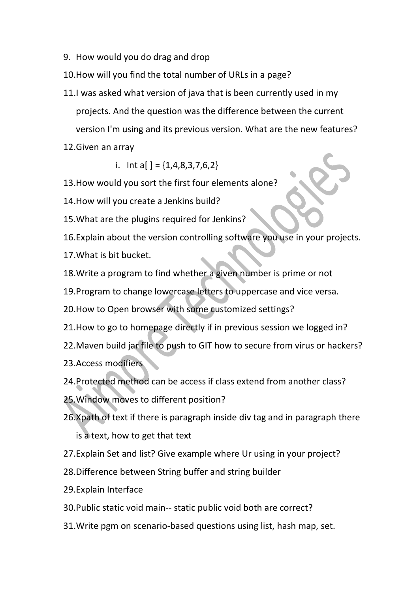9. How would you do drag and drop

10.How will you find the total number of URLs in a page?

- 11.I was asked what version of java that is been currently used in my projects. And the question was the difference between the current version I'm using and its previous version. What are the new features?
- 12.Given an array

i. Int a[ ] =  $\{1, 4, 8, 3, 7, 6, 2\}$ 

13.How would you sort the first four elements alone?

14.How will you create a Jenkins build?

15.What are the plugins required for Jenkins?

16.Explain about the version controlling software you use in your projects.

17.What is bit bucket.

18.Write a program to find whether a given number is prime or not

19.Program to change lowercase letters to uppercase and vice versa.

20.How to Open browser with some customized settings?

21.How to go to homepage directly if in previous session we logged in?

22.Maven build jar file to push to GIT how to secure from virus or hackers?

23.Access modifiers

24.Protected method can be access if class extend from another class?

25.Window moves to different position?

26.Xpath of text if there is paragraph inside div tag and in paragraph there is a text, how to get that text

27.Explain Set and list? Give example where Ur using in your project?

28.Difference between String buffer and string builder

29.Explain Interface

30.Public static void main-- static public void both are correct?

31.Write pgm on scenario-based questions using list, hash map, set.